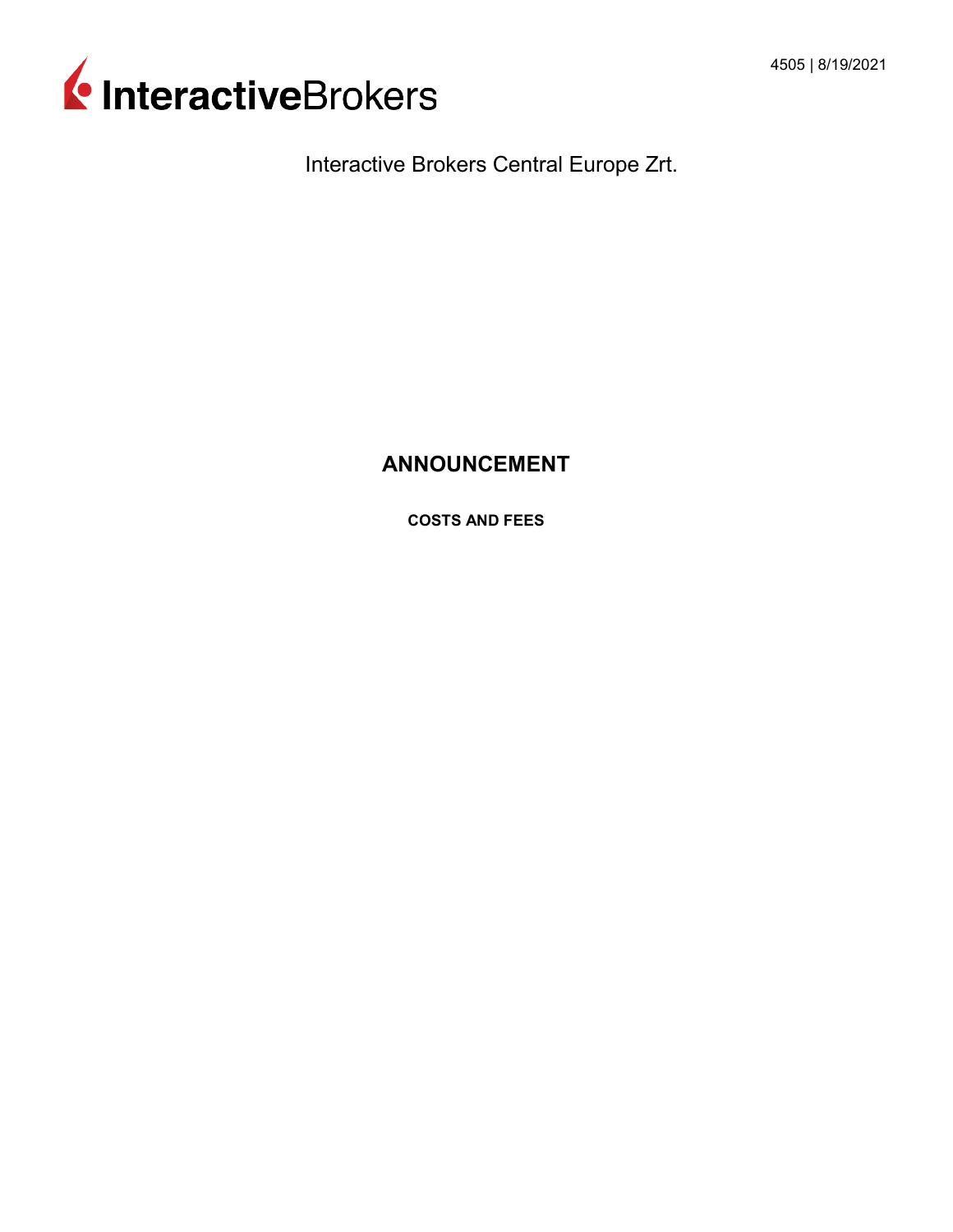

Interactive Brokers Central Europe Zrt.

# **ANNOUNCEMENT**

**COSTS AND FEES**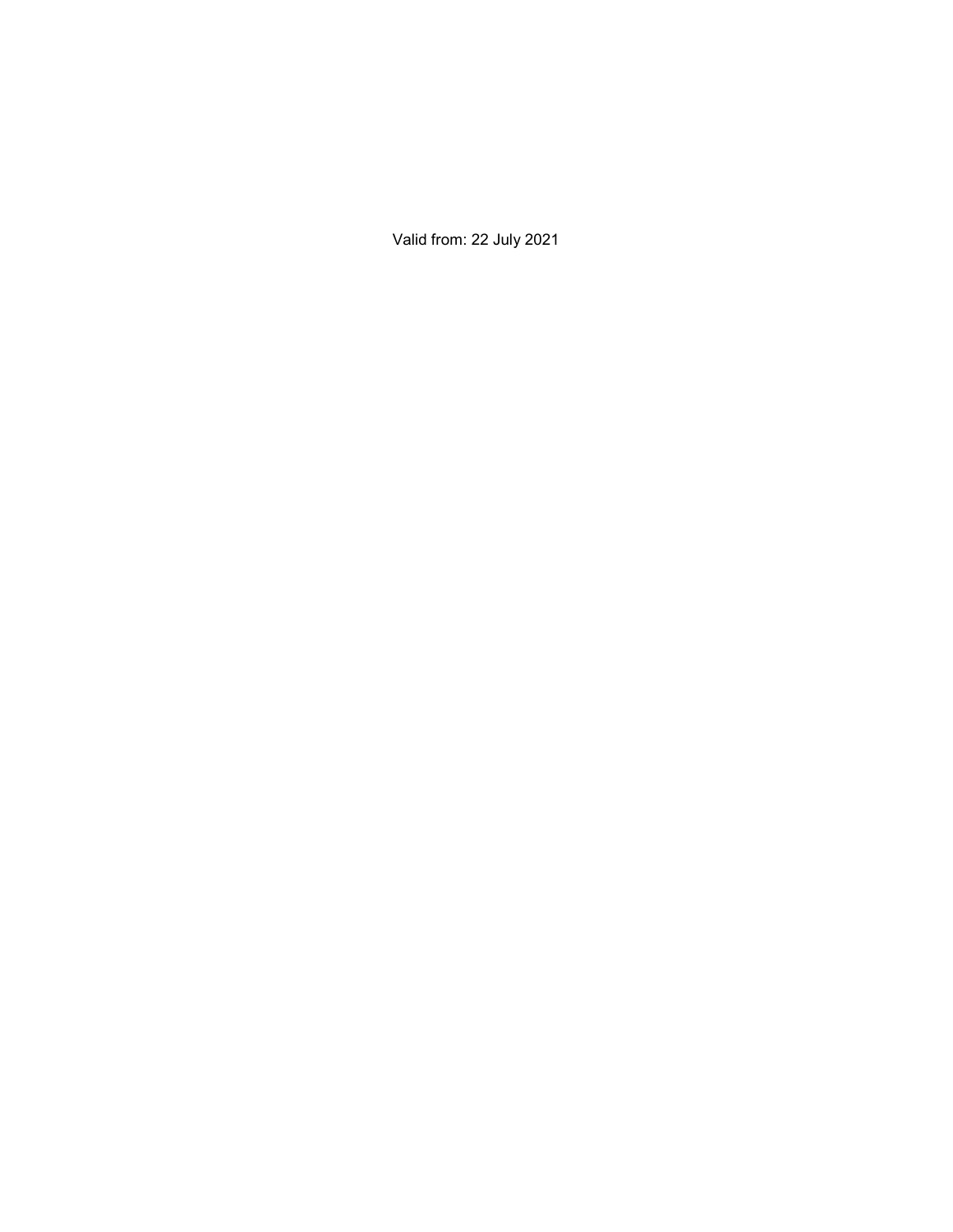Valid from: 22 July 2021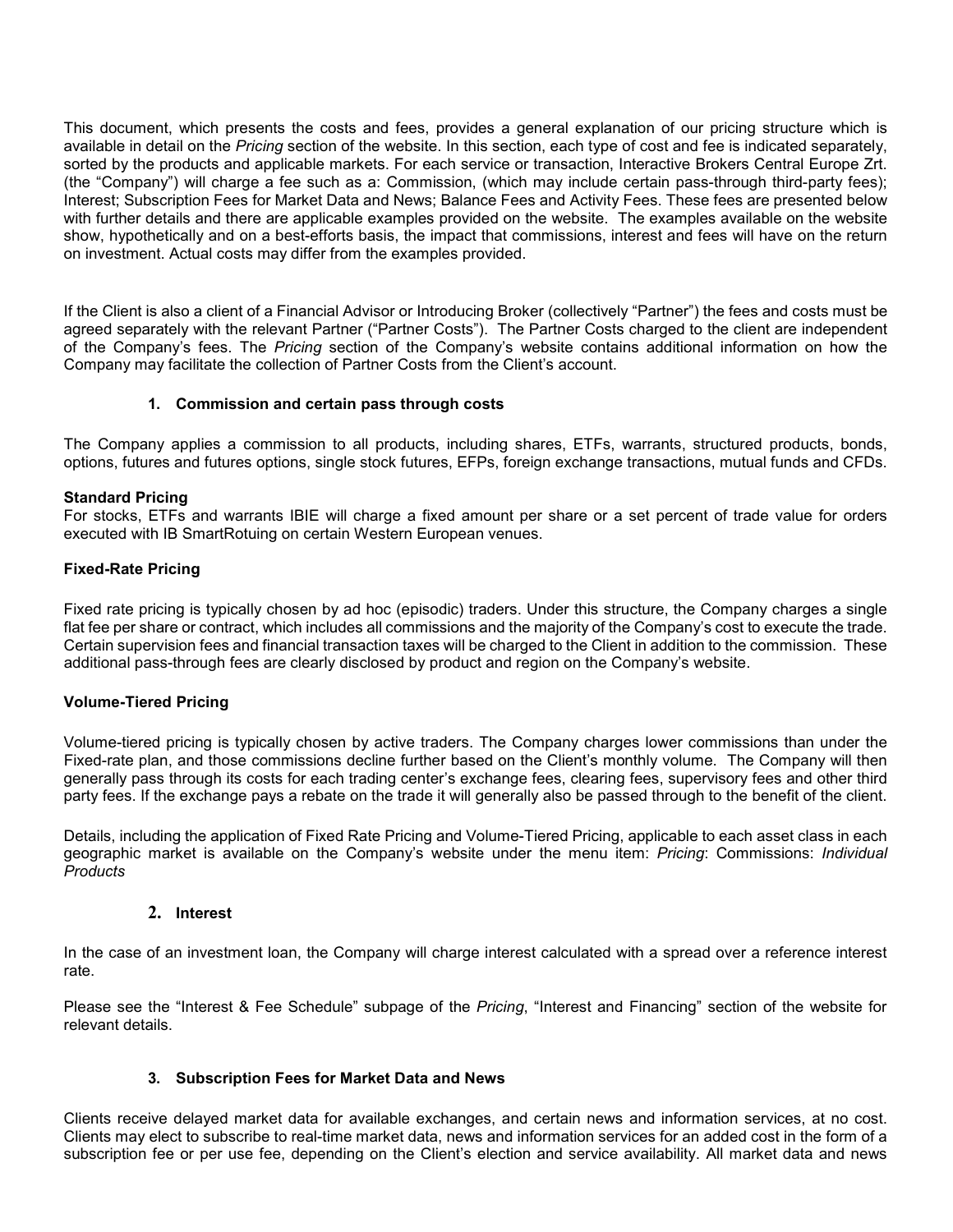This document, which presents the costs and fees, provides a general explanation of our pricing structure which is available in detail on the *Pricing* section of the website. In this section, each type of cost and fee is indicated separately, sorted by the products and applicable markets. For each service or transaction, Interactive Brokers Central Europe Zrt. (the "Company") will charge a fee such as a: Commission, (which may include certain pass-through third-party fees); Interest; Subscription Fees for Market Data and News; Balance Fees and Activity Fees. These fees are presented below with further details and there are applicable examples provided on the website. The examples available on the website show, hypothetically and on a best-efforts basis, the impact that commissions, interest and fees will have on the return on investment. Actual costs may differ from the examples provided.

If the Client is also a client of a Financial Advisor or Introducing Broker (collectively "Partner") the fees and costs must be agreed separately with the relevant Partner ("Partner Costs"). The Partner Costs charged to the client are independent of the Company's fees. The *Pricing* section of the Company's website contains additional information on how the Company may facilitate the collection of Partner Costs from the Client's account.

## **1. Commission and certain pass through costs**

The Company applies a commission to all products, including shares, ETFs, warrants, structured products, bonds, options, futures and futures options, single stock futures, EFPs, foreign exchange transactions, mutual funds and CFDs.

## **Standard Pricing**

For stocks, ETFs and warrants IBIE will charge a fixed amount per share or a set percent of trade value for orders executed with IB SmartRotuing on certain Western European venues.

## **Fixed-Rate Pricing**

Fixed rate pricing is typically chosen by ad hoc (episodic) traders. Under this structure, the Company charges a single flat fee per share or contract, which includes all commissions and the majority of the Company's cost to execute the trade. Certain supervision fees and financial transaction taxes will be charged to the Client in addition to the commission. These additional pass-through fees are clearly disclosed by product and region on the Company's website.

#### **Volume-Tiered Pricing**

Volume-tiered pricing is typically chosen by active traders. The Company charges lower commissions than under the Fixed-rate plan, and those commissions decline further based on the Client's monthly volume. The Company will then generally pass through its costs for each trading center's exchange fees, clearing fees, supervisory fees and other third party fees. If the exchange pays a rebate on the trade it will generally also be passed through to the benefit of the client.

Details, including the application of Fixed Rate Pricing and Volume-Tiered Pricing, applicable to each asset class in each geographic market is available on the Company's website under the menu item: *Pricing*: Commissions: *Individual Products*

#### **2. Interest**

In the case of an investment loan, the Company will charge interest calculated with a spread over a reference interest rate.

Please see the "Interest & Fee Schedule" subpage of the *Pricing*, "Interest and Financing" section of the website for relevant details.

# **3. Subscription Fees for Market Data and News**

Clients receive delayed market data for available exchanges, and certain news and information services, at no cost. Clients may elect to subscribe to real-time market data, news and information services for an added cost in the form of a subscription fee or per use fee, depending on the Client's election and service availability. All market data and news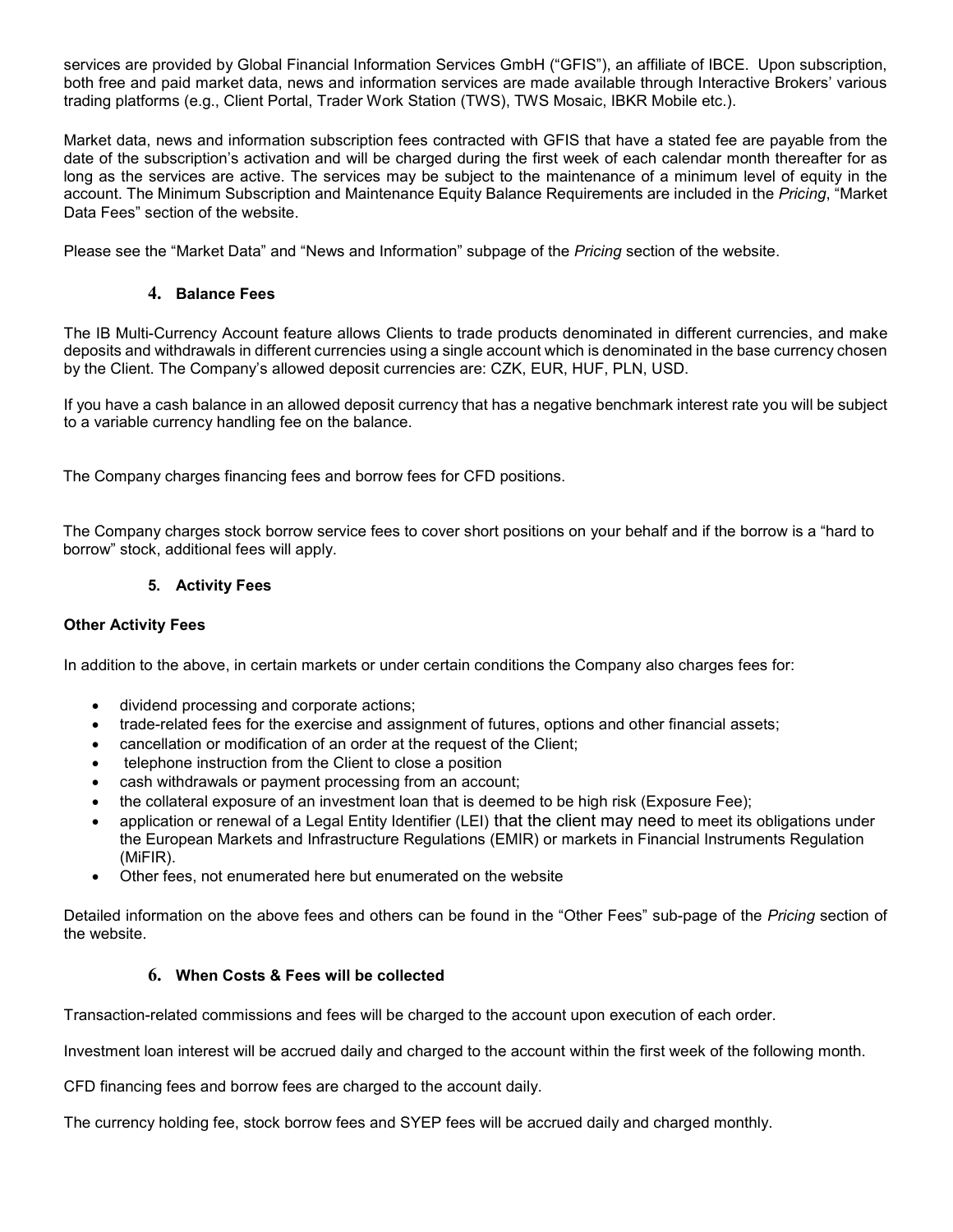services are provided by Global Financial Information Services GmbH ("GFIS"), an affiliate of IBCE. Upon subscription, both free and paid market data, news and information services are made available through Interactive Brokers' various trading platforms (e.g., Client Portal, Trader Work Station (TWS), TWS Mosaic, IBKR Mobile etc.).

Market data, news and information subscription fees contracted with GFIS that have a stated fee are payable from the date of the subscription's activation and will be charged during the first week of each calendar month thereafter for as long as the services are active. The services may be subject to the maintenance of a minimum level of equity in the account. The Minimum Subscription and Maintenance Equity Balance Requirements are included in the *Pricing*, "Market Data Fees" section of the website.

Please see the "Market Data" and "News and Information" subpage of the *Pricing* section of the website.

# **4. Balance Fees**

The IB Multi-Currency Account feature allows Clients to trade products denominated in different currencies, and make deposits and withdrawals in different currencies using a single account which is denominated in the base currency chosen by the Client. The Company's allowed deposit currencies are: CZK, EUR, HUF, PLN, USD.

If you have a cash balance in an allowed deposit currency that has a negative benchmark interest rate you will be subject to a variable currency handling fee on the balance.

The Company charges financing fees and borrow fees for CFD positions.

The Company charges stock borrow service fees to cover short positions on your behalf and if the borrow is a "hard to borrow" stock, additional fees will apply.

## **5. Activity Fees**

#### **Other Activity Fees**

In addition to the above, in certain markets or under certain conditions the Company also charges fees for:

- dividend processing and corporate actions;
- trade-related fees for the exercise and assignment of futures, options and other financial assets;
- cancellation or modification of an order at the request of the Client;
- telephone instruction from the Client to close a position
- cash withdrawals or payment processing from an account;
- the collateral exposure of an investment loan that is deemed to be high risk (Exposure Fee);
- application or renewal of a Legal Entity Identifier (LEI) that the client may need to meet its obligations under the European Markets and Infrastructure Regulations (EMIR) or markets in Financial Instruments Regulation (MiFIR).
- Other fees, not enumerated here but enumerated on the website

Detailed information on the above fees and others can be found in the "Other Fees" sub-page of the *Pricing* section of the website.

# **6. When Costs & Fees will be collected**

Transaction-related commissions and fees will be charged to the account upon execution of each order.

Investment loan interest will be accrued daily and charged to the account within the first week of the following month.

CFD financing fees and borrow fees are charged to the account daily.

The currency holding fee, stock borrow fees and SYEP fees will be accrued daily and charged monthly.